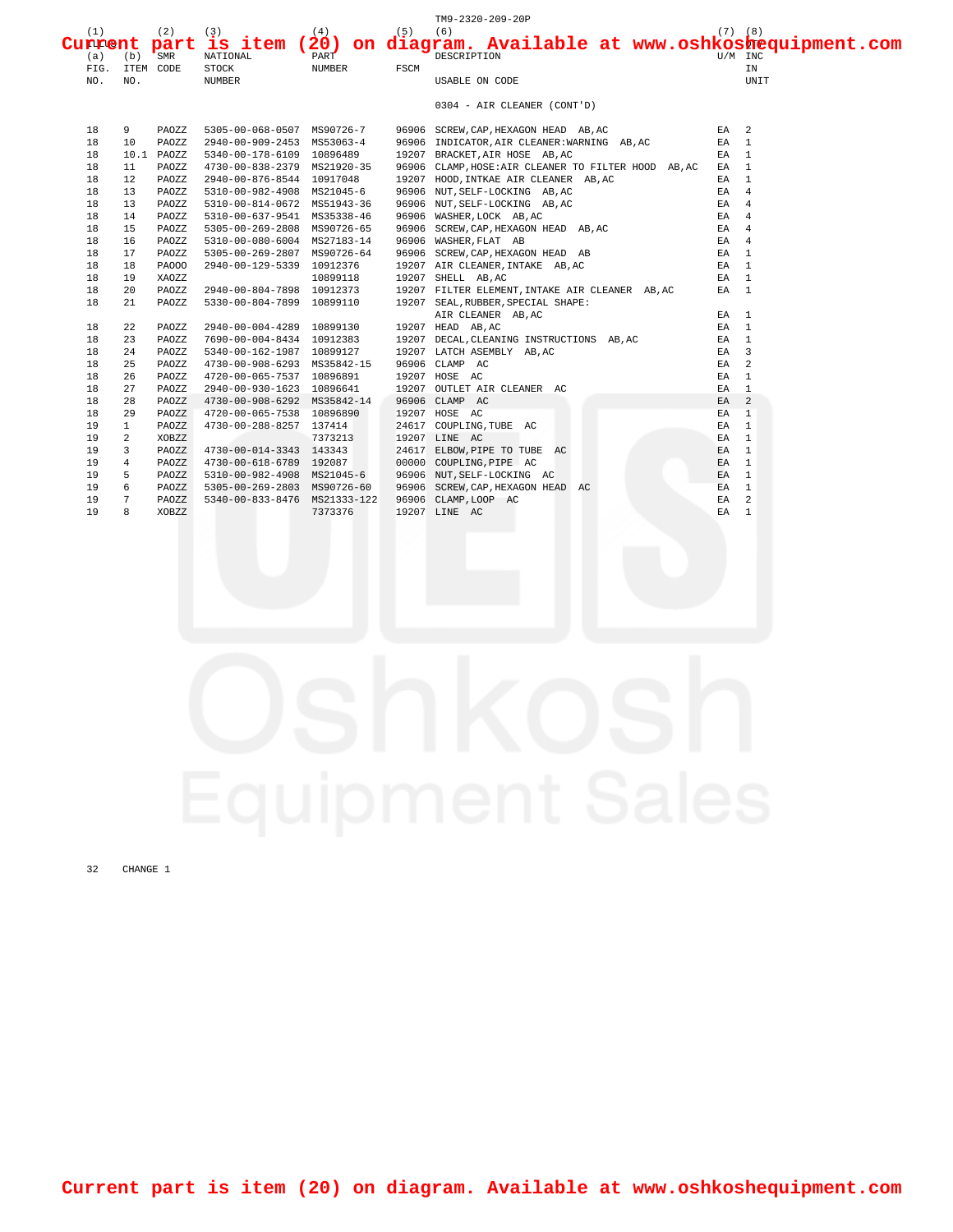|                |                   |              |                              |          |             | TM9-2320-209-20P                                                                                                                                                                                                                                 |                 |                |
|----------------|-------------------|--------------|------------------------------|----------|-------------|--------------------------------------------------------------------------------------------------------------------------------------------------------------------------------------------------------------------------------------------------|-----------------|----------------|
| (1)            |                   | (2)          | (3)                          | (4)      | $(5)$ $(6)$ |                                                                                                                                                                                                                                                  |                 | $(7)$ $(8)$    |
| <b>Current</b> |                   |              |                              |          |             | part is item (20) on diagram. Available at www.oshkoshequipment.com                                                                                                                                                                              |                 |                |
| (a)            | $(b)$ SMR         |              | NATIONAL                     | PART     |             | DESCRIPTION                                                                                                                                                                                                                                      |                 | U/M INC        |
|                | FIG. ITEM CODE    |              | <b>STOCK</b>                 | NUMBER   | FSCM        |                                                                                                                                                                                                                                                  |                 | IN             |
| NO.            | NO.               |              | NUMBER                       |          |             | USABLE ON CODE                                                                                                                                                                                                                                   |                 | UNIT           |
|                |                   |              |                              |          |             | 0304 - AIR CLEANER (CONT'D)                                                                                                                                                                                                                      |                 |                |
| 18             | 9                 | PAOZZ        | 5305-00-068-0507 MS90726-7   |          |             |                                                                                                                                                                                                                                                  |                 |                |
| 18             | 10                | PAOZZ        | 2940-00-909-2453 MS53063-4   |          |             |                                                                                                                                                                                                                                                  |                 |                |
| 18             |                   | 10.1 PAOZZ   | 5340-00-178-6109 10896489    |          |             |                                                                                                                                                                                                                                                  |                 |                |
| 18             | 11                | PAOZZ        | 4730-00-838-2379 MS21920-35  |          |             | 96906 CLAMP, HOSE: AIR CLEANER TO FILTER HOOD AB, AC EA 1                                                                                                                                                                                        |                 |                |
| 18             | $12 \overline{ }$ | PAOZZ        | 2940-00-876-8544 10917048    |          |             |                                                                                                                                                                                                                                                  | EA              | $\overline{1}$ |
| 18             | 13                | PAOZZ        | 5310-00-982-4908 MS21045-6   |          |             |                                                                                                                                                                                                                                                  | EA              | $\overline{4}$ |
| 18             | 13                | PAOZZ        | 5310-00-814-0672 MS51943-36  |          |             |                                                                                                                                                                                                                                                  | EA 4            |                |
| 18             | 14                | PAOZZ        | 5310-00-637-9541 MS35338-46  |          |             |                                                                                                                                                                                                                                                  | $EA$ 4          |                |
| 18             | 15                | PAOZZ        | 5305-00-269-2808 MS90726-65  |          |             |                                                                                                                                                                                                                                                  | $EA$ 4          |                |
| 18             | 16                | PAOZZ        | 5310-00-080-6004 MS27183-14  |          |             | 9906 CLEAR CLEARER AB, AC<br>19207 HOD, INTKAE AR CLEARER AB, AC<br>96906 NUT, SELF-LOCKING AB, AC<br>96906 NUT, SELF-LOCKING AB, AC<br>96906 GNASHER, LOCK AB, AC<br>96906 SCREW, CAP, HEXAGON HEAD AB, AC<br>96906 SCREW, CAP, HEXAGON HEAD AB | $EA$ 4          |                |
| 18             | 17                | PAOZZ        | 5305-00-269-2807 MS90726-64  |          |             |                                                                                                                                                                                                                                                  | EA 1            |                |
| 18             | 18                | <b>PA000</b> | 2940-00-129-5339 10912376    |          |             |                                                                                                                                                                                                                                                  | $EA$ 1          |                |
| 18             | 19                | XAOZZ        |                              | 10899118 |             |                                                                                                                                                                                                                                                  | $EA$ 1          |                |
| 18             | 20                | PAOZZ        | 2940-00-804-7898 10912373    |          |             | 19207 FILTER ELEMENT, INTAKE AIR CLEANER AB, AC                                                                                                                                                                                                  | $EA$ 1          |                |
| 18             | 21                | PAOZZ        | 5330-00-804-7899 10899110    |          |             |                                                                                                                                                                                                                                                  |                 |                |
|                |                   |              |                              |          |             |                                                                                                                                                                                                                                                  |                 |                |
| 18             | 22                | PAOZZ        | 2940-00-004-4289 10899130    |          |             |                                                                                                                                                                                                                                                  |                 |                |
| 18             | 23                | PAOZZ        | 7690-00-004-8434 10912383    |          |             |                                                                                                                                                                                                                                                  |                 |                |
| 18             | 24                | PAOZZ        | 5340-00-162-1987 10899127    |          |             |                                                                                                                                                                                                                                                  |                 |                |
| 18             | 25                | PAOZZ        | 4730-00-908-6293 MS35842-15  |          |             |                                                                                                                                                                                                                                                  |                 |                |
| 18             | 26                | PAOZZ        | 4720-00-065-7537 10896891    |          |             |                                                                                                                                                                                                                                                  |                 |                |
| 18             | 27                | PAOZZ        | 2940-00-930-1623 10896641    |          |             |                                                                                                                                                                                                                                                  |                 |                |
| 18             | 28                | PAOZZ        | 4730-00-908-6292 MS35842-14  |          |             | 96906 CLAMP AC                                                                                                                                                                                                                                   | EA              | 2              |
| 18             | 29                | PAOZZ        | 4720-00-065-7538 10896890    |          |             | 19207 HOSE AC                                                                                                                                                                                                                                    | $EA$ 1          |                |
| 19             | $\mathbf{1}$      | PAOZZ        | 4730-00-288-8257 137414      |          |             | 24617 COUPLING, TUBE AC                                                                                                                                                                                                                          | EA 1            |                |
| 19             | 2                 | XOBZZ        |                              | 7373213  |             | 19207 LINE AC                                                                                                                                                                                                                                    | $EA$ 1          |                |
| 19             | 3                 | PAOZZ        | 4730-00-014-3343 143343      |          |             | 24617 ELBOW, PIPE TO TUBE AC                                                                                                                                                                                                                     | $EA$ 1          |                |
| 19             | $\overline{4}$    | PAOZZ        | 4730-00-618-6789 192087      |          |             | 00000 COUPLING, PIPE AC                                                                                                                                                                                                                          | $EA$ 1          |                |
| 19             | 5                 | PAOZZ        | 5310-00-982-4908 MS21045-6   |          |             | 96906 NUT, SELF-LOCKING AC                                                                                                                                                                                                                       | EA              | $\mathbf{1}$   |
| 19             | 6                 | PAOZZ        | 5305-00-269-2803 MS90726-60  |          |             | 96906 SCREW, CAP, HEXAGON HEAD AC                                                                                                                                                                                                                | EA              | $\overline{1}$ |
| 19             | 7                 | PAOZZ        | 5340-00-833-8476 MS21333-122 |          |             | 96906 CLAMP, LOOP AC                                                                                                                                                                                                                             | $EA$ 2          |                |
| 19             | 8                 | XOBZZ        |                              | 7373376  |             | 19207 LINE AC                                                                                                                                                                                                                                    | EA <sub>1</sub> |                |
|                |                   |              |                              |          |             |                                                                                                                                                                                                                                                  |                 |                |

32 CHANGE 1